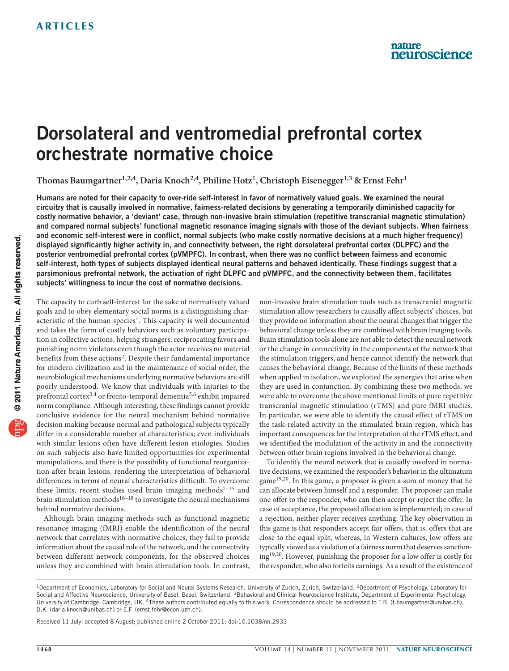# Dorsolateral and ventromedial prefrontal cortex orchestrate normative choice

Thomas Baumgartner<sup>1,2,4</sup>, Daria Knoch<sup>2,4</sup>, Philine Hotz<sup>1</sup>, Christoph Eisenegger<sup>1,3</sup> & Ernst Fehr<sup>1</sup>

Humans are noted for their capacity to over-ride self-interest in favor of normatively valued goals. We examined the neural circuitry that is causally involved in normative, fairness-related decisions by generating a temporarily diminished capacity for costly normative behavior, a 'deviant' case, through non-invasive brain stimulation (repetitive transcranial magnetic stimulation) and compared normal subjects' functional magnetic resonance imaging signals with those of the deviant subjects. When fairness and economic self-interest were in conflict, normal subjects (who make costly normative decisions at a much higher frequency) displayed significantly higher activity in, and connectivity between, the right dorsolateral prefrontal cortex (DLPFC) and the posterior ventromedial prefrontal cortex (pVMPFC). In contrast, when there was no conflict between fairness and economic self-interest, both types of subjects displayed identical neural patterns and behaved identically. These findings suggest that a parsimonious prefrontal network, the activation of right DLPFC and pVMPFC, and the connectivity between them, facilitates subjects' willingness to incur the cost of normative decisions.

The capacity to curb self-interest for the sake of normatively valued goals and to obey elementary social norms is a distinguishing characteristic of the human species<sup>1</sup>. This capacity is well documented and takes the form of costly behaviors such as voluntary participation in collective actions, helping strangers, reciprocating favors and punishing norm violators even though the actor receives no material benefits from these actions<sup>[2](#page-5-1)</sup>. Despite their fundamental importance for modern civilization and in the maintenance of social order, the neurobiological mechanisms underlying normative behaviors are still poorly understood. We know that individuals with injuries to the prefrontal cortex[3,](#page-5-2)[4](#page-5-3) or fronto-temporal dementia[5,](#page-5-4)[6](#page-5-5) exhibit impaired norm compliance. Although interesting, these findings cannot provide conclusive evidence for the neural mechanism behind normative decision making because normal and pathological subjects typically differ in a considerable number of characteristics; even individuals with similar lesions often have different lesion etiologies. Studies on such subjects also have limited opportunities for experimental manipulations, and there is the possibility of functional reorganization after brain lesions, rendering the interpretation of behavioral differences in terms of neural characteristics difficult. To overcome these limits, recent studies used brain imaging methods $7-15$  and brain stimulation methods<sup>[16–](#page-6-1)18</sup> to investigate the neural mechanisms behind normative decisions.

Although brain imaging methods such as functional magnetic resonance imaging (fMRI) enable the identification of the neural network that correlates with normative choices, they fail to provide information about the causal role of the network, and the connectivity between different network components, for the observed choices unless they are combined with brain stimulation tools. In contrast, non-invasive brain stimulation tools such as transcranial magnetic stimulation allow researchers to causally affect subjects' choices, but they provide no information about the neural changes that trigger the behavioral change unless they are combined with brain imaging tools. Brain stimulation tools alone are not able to detect the neural network or the change in connectivity in the components of the network that the stimulation triggers, and hence cannot identify the network that causes the behavioral change. Because of the limits of these methods when applied in isolation, we exploited the synergies that arise when they are used in conjunction. By combining these two methods, we were able to overcome the above mentioned limits of pure repetitive transcranial magnetic stimulation (rTMS) and pure fMRI studies. In particular, we were able to identify the causal effect of rTMS on the task-related activity in the stimulated brain region, which has important consequences for the interpretation of the rTMS effect, and we identified the modulation of the activity in and the connectivity between other brain regions involved in the behavioral change.

To identify the neural network that is causally involved in normative decisions, we examined the responder's behavior in the ultimatum game<sup>[19,](#page-6-3)20</sup>. In this game, a proposer is given a sum of money that he can allocate between himself and a responder. The proposer can make one offer to the responder, who can then accept or reject the offer. In case of acceptance, the proposed allocation is implemented; in case of a rejection, neither player receives anything. The key observation in this game is that responders accept fair offers, that is, offers that are close to the equal split, whereas, in Western cultures, low offers are typically viewed as a violation of a fairness norm that deserves sanctioning[19,](#page-6-3)[20.](#page-6-4) However, punishing the proposer for a low offer is costly for the responder, who also forfeits earnings. As a result of the existence of

Received 11 July; accepted 8 August; published online 2 October 2011; [doi:10.1038/nn.2933](http://www.nature.com/doifinder/10.1038/nn.2933)

<sup>&</sup>lt;sup>1</sup>Department of Economics, Laboratory for Social and Neural Systems Research, University of Zurich, Zurich, Switzerland. <sup>2</sup>Department of Psychology, Laboratory for Social and Affective Neuroscience, University of Basel, Basel, Switzerland. <sup>3</sup>Behavioral and Clinical Neuroscience Institute, Department of Experimental Psychology, University of Cambridge, Cambridge, UK. 4These authors contributed equally to this work. Correspondence should be addressed to T.B. (t.baumgartner@unibas.ch), D.K. (daria.knoch@unibas.ch) or E.F. (ernst.fehr@econ.uzh.ch).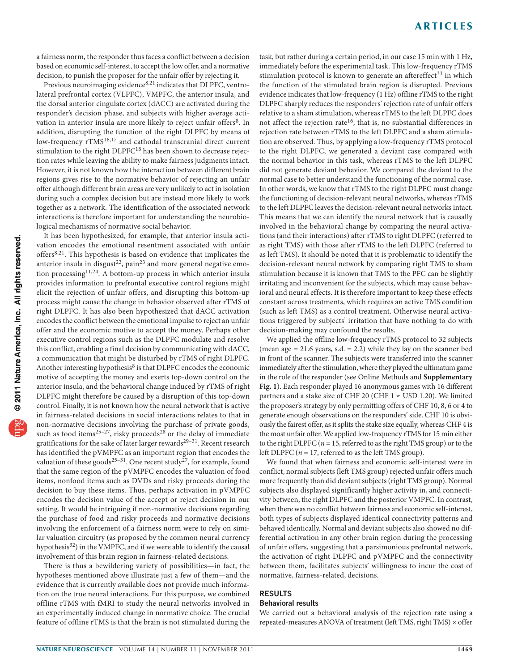a fairness norm, the responder thus faces a conflict between a decision based on economic self-interest, to accept the low offer, and a normative decision, to punish the proposer for the unfair offer by rejecting it.

Previous neuroimaging evidence<sup>[8,](#page-5-7)[21](#page-6-5)</sup> indicates that DLPFC, ventrolateral prefrontal cortex (VLPFC), VMPFC, the anterior insula, and the dorsal anterior cingulate cortex (dACC) are activated during the responder's decision phase, and subjects with higher average acti-vation in anterior insula are more likely to reject unfair offers<sup>[8](#page-5-7)</sup>. In addition, disrupting the function of the right DLPFC by means of low-frequency rTMS<sup>[16,](#page-6-1)[17](#page-6-6)</sup> and cathodal transcranial direct current stimulation to the right DLPFC[18](#page-6-2) has been shown to decrease rejection rates while leaving the ability to make fairness judgments intact. However, it is not known how the interaction between different brain regions gives rise to the normative behavior of rejecting an unfair offer although different brain areas are very unlikely to act in isolation during such a complex decision but are instead more likely to work together as a network. The identification of the associated network interactions is therefore important for understanding the neurobiological mechanisms of normative social behavior.

It has been hypothesized, for example, that anterior insula activation encodes the emotional resentment associated with unfair offers[8,](#page-5-7)[21](#page-6-5). This hypothesis is based on evidence that implicates the anterior insula in disgust<sup>22</sup>, pain<sup>[23](#page-6-8)</sup> and more general negative emo-tion processing<sup>[11,](#page-5-8)24</sup>. A bottom-up process in which anterior insula provides information to prefrontal executive control regions might elicit the rejection of unfair offers, and disrupting this bottom-up process might cause the change in behavior observed after rTMS of right DLPFC. It has also been hypothesized that dACC activation encodes the conflict between the emotional impulse to reject an unfair offer and the economic motive to accept the money. Perhaps other executive control regions such as the DLPFC modulate and resolve this conflict, enabling a final decision by communicating with dACC, a communication that might be disturbed by rTMS of right DLPFC. Another interesting hypothesis $8$  is that DLPFC encodes the economic motive of accepting the money and exerts top-down control on the anterior insula, and the behavioral change induced by rTMS of right DLPFC might therefore be caused by a disruption of this top-down control. Finally, it is not known how the neural network that is active in fairness-related decisions in social interactions relates to that in non-normative decisions involving the purchase of private goods, such as food items<sup>25-[27](#page-6-11)</sup>, risky proceeds<sup>[28](#page-6-12)</sup> or the delay of immediate gratifications for the sake of later larger rewards $29-31$  $29-31$ . Recent research has identified the pVMPFC as an important region that encodes the valuation of these goods<sup>25-31</sup>. One recent study<sup>27</sup>, for example, found that the same region of the pVMPFC encodes the valuation of food items, nonfood items such as DVDs and risky proceeds during the decision to buy these items. Thus, perhaps activation in pVMPFC encodes the decision value of the accept or reject decision in our setting. It would be intriguing if non-normative decisions regarding the purchase of food and risky proceeds and normative decisions involving the enforcement of a fairness norm were to rely on similar valuation circuitry (as proposed by the common neural currency hypothesis<sup>32</sup>) in the VMPFC, and if we were able to identify the causal involvement of this brain region in fairness-related decisions.

There is thus a bewildering variety of possibilities—in fact, the hypotheses mentioned above illustrate just a few of them—and the evidence that is currently available does not provide much information on the true neural interactions. For this purpose, we combined offline rTMS with fMRI to study the neural networks involved in an experimentally induced change in normative choice. The crucial feature of offline rTMS is that the brain is not stimulated during the

task, but rather during a certain period, in our case 15 min with 1 Hz, immediately before the experimental task. This low-frequency rTMS stimulation protocol is known to generate an aftereffect<sup>33</sup> in which the function of the stimulated brain region is disrupted. Previous evidence indicates that low-frequency (1 Hz) offline rTMS to the right DLPFC sharply reduces the responders' rejection rate of unfair offers relative to a sham stimulation, whereas rTMS to the left DLPFC does not affect the rejection rate<sup>[16](#page-6-1)</sup>, that is, no substantial differences in rejection rate between rTMS to the left DLPFC and a sham stimulation are observed. Thus, by applying a low-frequency rTMS protocol to the right DLPFC, we generated a deviant case compared with the normal behavior in this task, whereas rTMS to the left DLPFC did not generate deviant behavior. We compared the deviant to the normal case to better understand the functioning of the normal case. In other words, we know that rTMS to the right DLPFC must change the functioning of decision-relevant neural networks, whereas rTMS to the left DLPFC leaves the decision-relevant neural networks intact. This means that we can identify the neural network that is causally involved in the behavioral change by comparing the neural activations (and their interactions) after rTMS to right DLPFC (referred to as right TMS) with those after rTMS to the left DLPFC (referred to as left TMS). It should be noted that it is problematic to identify the decision-relevant neural network by comparing right TMS to sham stimulation because it is known that TMS to the PFC can be slightly irritating and inconvenient for the subjects, which may cause behavioral and neural effects. It is therefore important to keep these effects constant across treatments, which requires an active TMS condition (such as left TMS) as a control treatment. Otherwise neural activations triggered by subjects' irritation that have nothing to do with decision-making may confound the results.

We applied the offline low-frequency rTMS protocol to 32 subjects (mean age  $= 21.6$  years, s.d.  $= 2.2$ ) while they lay on the scanner bed in front of the scanner. The subjects were transferred into the scanner immediately after the stimulation, where they played the ultimatum game in the role of the responder (see Online Methods and **Supplementary Fig. 1**). Each responder played 16 anonymous games with 16 different partners and a stake size of CHF 20 (CHF  $1 \approx$  USD 1.20). We limited the proposer's strategy by only permitting offers of CHF 10, 8, 6 or 4 to generate enough observations on the responders' side. CHF 10 is obviously the fairest offer, as it splits the stake size equally, whereas CHF 4 is the most unfair offer. We applied low-frequency rTMS for 15 min either to the right DLPFC ( $n = 15$ , referred to as the right TMS group) or to the left DLPFC ( $n = 17$ , referred to as the left TMS group).

We found that when fairness and economic self-interest were in conflict, normal subjects (left TMS group) rejected unfair offers much more frequently than did deviant subjects (right TMS group). Normal subjects also displayed significantly higher activity in, and connectivity between, the right DLPFC and the posterior VMPFC. In contrast, when there was no conflict between fairness and economic self-interest, both types of subjects displayed identical connectivity patterns and behaved identically. Normal and deviant subjects also showed no differential activation in any other brain region during the processing of unfair offers, suggesting that a parsimonious prefrontal network, the activation of right DLPFC and pVMPFC and the connectivity between them, facilitates subjects' willingness to incur the cost of normative, fairness-related, decisions.

### RESULTS

#### Behavioral results

We carried out a behavioral analysis of the rejection rate using a repeated-measures ANOVA of treatment (left TMS, right TMS) × offer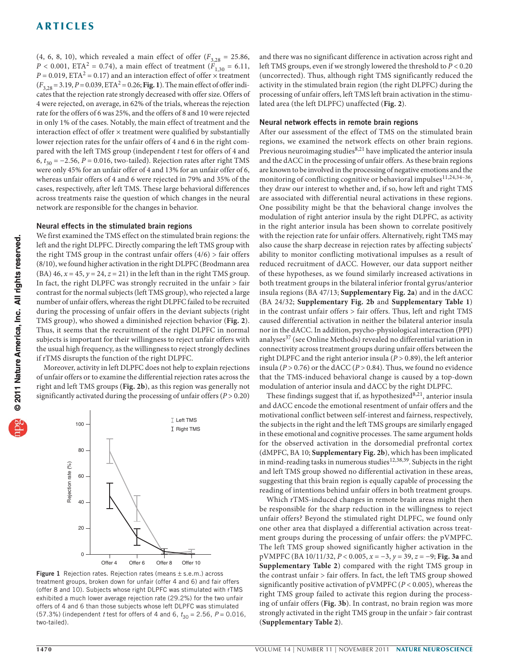(4, 6, 8, 10), which revealed a main effect of offer  $(F_{3,28} = 25.86,$ *P* < 0.001, ETA<sup>2</sup> = 0.74), a main effect of treatment ( $F_{1,30}$  = 6.11,  $P = 0.019$ , ETA<sup>2</sup> = 0.17) and an interaction effect of offer  $\times$  treatment  $(F_{3,28} = 3.19, P = 0.039, ETA^2 = 0.26; Fig. 1)$  $(F_{3,28} = 3.19, P = 0.039, ETA^2 = 0.26; Fig. 1)$  $(F_{3,28} = 3.19, P = 0.039, ETA^2 = 0.26; Fig. 1)$ . The main effect of offer indicates that the rejection rate strongly decreased with offer size. Offers of 4 were rejected, on average, in 62% of the trials, whereas the rejection rate for the offers of 6 was 25%, and the offers of 8 and 10 were rejected in only 1% of the cases. Notably, the main effect of treatment and the interaction effect of offer  $\times$  treatment were qualified by substantially lower rejection rates for the unfair offers of 4 and 6 in the right compared with the left TMS group (independent *t* test for offers of 4 and 6,  $t_{30}$  =  $-2.56$ ,  $P = 0.016$ , two-tailed). Rejection rates after right TMS were only 45% for an unfair offer of 4 and 13% for an unfair offer of 6, whereas unfair offers of 4 and 6 were rejected in 79% and 35% of the cases, respectively, after left TMS. These large behavioral differences across treatments raise the question of which changes in the neural network are responsible for the changes in behavior.

### Neural effects in the stimulated brain regions

We first examined the TMS effect on the stimulated brain regions: the left and the right DLPFC. Directly comparing the left TMS group with the right TMS group in the contrast unfair offers  $(4/6)$  > fair offers (8/10), we found higher activation in the right DLPFC (Brodmann area (BA) 46,  $x = 45$ ,  $y = 24$ ,  $z = 21$ ) in the left than in the right TMS group. In fact, the right DLPFC was strongly recruited in the unfair > fair contrast for the normal subjects (left TMS group), who rejected a large number of unfair offers, whereas the right DLPFC failed to be recruited during the processing of unfair offers in the deviant subjects (right TMS group), who showed a diminished rejection behavior (**[Fig. 2](#page-3-0)**). Thus, it seems that the recruitment of the right DLPFC in normal subjects is important for their willingness to reject unfair offers with the usual high frequency, as the willingness to reject strongly declines if rTMS disrupts the function of the right DLPFC.

Moreover, activity in left DLPFC does not help to explain rejections of unfair offers or to examine the differential rejection rates across the right and left TMS groups (**[Fig. 2b](#page-3-0)**), as this region was generally not significantly activated during the processing of unfair offers  $(P > 0.20)$ 



<span id="page-2-0"></span>Figure 1 Rejection rates. Rejection rates (means  $\pm$  s.e.m.) across treatment groups, broken down for unfair (offer 4 and 6) and fair offers (offer 8 and 10). Subjects whose right DLPFC was stimulated with rTMS exhibited a much lower average rejection rate (29.2%) for the two unfair offers of 4 and 6 than those subjects whose left DLPFC was stimulated (57.3%) (independent *t* test for offers of 4 and 6,  $t_{30} = 2.56$ ,  $P = 0.016$ , two-tailed).

and there was no significant difference in activation across right and left TMS groups, even if we strongly lowered the threshold to *P* < 0.20 (uncorrected). Thus, although right TMS significantly reduced the activity in the stimulated brain region (the right DLPFC) during the processing of unfair offers, left TMS left brain activation in the stimulated area (the left DLPFC) unaffected (**[Fig. 2](#page-3-0)**).

#### Neural network effects in remote brain regions

After our assessment of the effect of TMS on the stimulated brain regions, we examined the network effects on other brain regions. Previous neuroimaging studies<sup>[8,](#page-5-7)21</sup> have implicated the anterior insula and the dACC in the processing of unfair offers. As these brain regions are known to be involved in the processing of negative emotions and the monitoring of conflicting cognitive or behavioral impulses<sup>[11,](#page-5-8)[24,](#page-6-9)34-[36](#page-6-18)</sup>, they draw our interest to whether and, if so, how left and right TMS are associated with differential neural activations in these regions. One possibility might be that the behavioral change involves the modulation of right anterior insula by the right DLPFC, as activity in the right anterior insula has been shown to correlate positively with the rejection rate for unfair offers. Alternatively, right TMS may also cause the sharp decrease in rejection rates by affecting subjects' ability to monitor conflicting motivational impulses as a result of reduced recruitment of dACC. However, our data support neither of these hypotheses, as we found similarly increased activations in both treatment groups in the bilateral inferior frontal gyrus/anterior insula regions (BA 47/13; **Supplementary Fig. 2a**) and in the dACC (BA 24/32; **Supplementary Fig. 2b** and **Supplementary Table 1**) in the contrast unfair offers > fair offers. Thus, left and right TMS caused differential activation in neither the bilateral anterior insula nor in the dACC. In addition, psycho-physiological interaction (PPI) analyses<sup>37</sup> (see Online Methods) revealed no differential variation in connectivity across treatment groups during unfair offers between the right DLPFC and the right anterior insula (*P* > 0.89), the left anterior insula ( $P > 0.76$ ) or the dACC ( $P > 0.84$ ). Thus, we found no evidence that the TMS-induced behavioral change is caused by a top-down modulation of anterior insula and dACC by the right DLPFC.

These findings suggest that if, as hypothesized<sup>[8,](#page-5-7)[21](#page-6-5)</sup>, anterior insula and dACC encode the emotional resentment of unfair offers and the motivational conflict between self-interest and fairness, respectively, the subjects in the right and the left TMS groups are similarly engaged in these emotional and cognitive processes. The same argument holds for the observed activation in the dorsomedial prefrontal cortex (dMPFC, BA 10; **Supplementary Fig. 2b**), which has been implicated in mind-reading tasks in numerous studies<sup>[12,](#page-5-9)[38,](#page-6-20)[39](#page-6-21)</sup>. Subjects in the right and left TMS group showed no differential activation in these areas, suggesting that this brain region is equally capable of processing the reading of intentions behind unfair offers in both treatment groups.

Which rTMS-induced changes in remote brain areas might then be responsible for the sharp reduction in the willingness to reject unfair offers? Beyond the stimulated right DLPFC, we found only one other area that displayed a differential activation across treatment groups during the processing of unfair offers: the pVMPFC. The left TMS group showed significantly higher activation in the pVMPFC (BA 10/11/32, *P* < 0.005, *x* = −3, *y* = 39, *z* = −9; **[Fig. 3a](#page-3-1)** and **Supplementary Table 2**) compared with the right TMS group in the contrast unfair > fair offers. In fact, the left TMS group showed significantly positive activation of pVMPFC (*P* < 0.005), whereas the right TMS group failed to activate this region during the processing of unfair offers (**[Fig. 3b](#page-3-1)**). In contrast, no brain region was more strongly activated in the right TMS group in the unfair > fair contrast (**Supplementary Table 2**).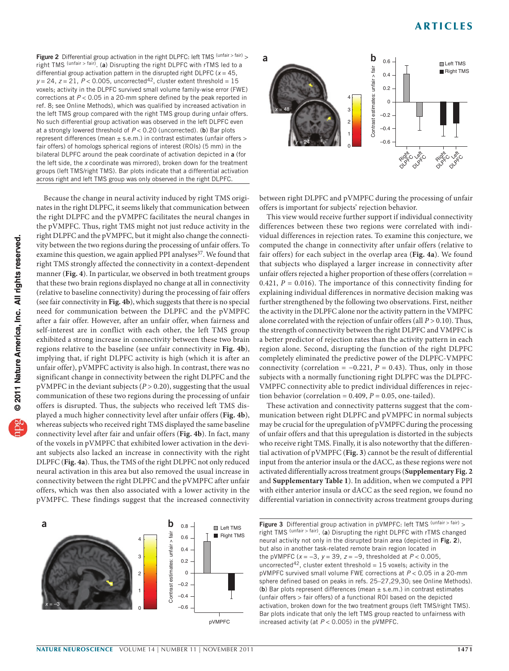<span id="page-3-0"></span>Figure 2 Differential group activation in the right DLPFC: left TMS (unfair > fair) > right TMS  $(unfair > fair)$ . (a) Disrupting the right DLPFC with rTMS led to a differential group activation pattern in the disrupted right DLPFC ( $x = 45$ , *y* = 24, *z* = 21, *P* < 0.005, uncorrected<sup>42</sup>, cluster extent threshold = 15 voxels; activity in the DLPFC survived small volume family-wise error (FWE) corrections at *P* < 0.05 in a 20-mm sphere defined by the peak reported in ref. 8; see Online Methods), which was qualified by increased activation in the left TMS group compared with the right TMS group during unfair offers. No such differential group activation was observed in the left DLPFC even at a strongly lowered threshold of *P* < 0.20 (uncorrected). (b) Bar plots represent differences (mean ± s.e.m.) in contrast estimates (unfair offers > fair offers) of homologs spherical regions of interest (ROIs) (5 mm) in the bilateral DLPFC around the peak coordinate of activation depicted in a (for the left side, the *x* coordinate was mirrored), broken down for the treatment groups (left TMS/right TMS). Bar plots indicate that a differential activation across right and left TMS group was only observed in the right DLPFC.

Because the change in neural activity induced by right TMS originates in the right DLPFC, it seems likely that communication between the right DLPFC and the pVMPFC facilitates the neural changes in the pVMPFC. Thus, right TMS might not just reduce activity in the right DLPFC and the pVMPFC, but it might also change the connectivity between the two regions during the processing of unfair offers. To examine this question, we again applied PPI analyses<sup>37</sup>. We found that right TMS strongly affected the connectivity in a context-dependent manner (**[Fig. 4](#page-4-0)**). In particular, we observed in both treatment groups that these two brain regions displayed no change at all in connectivity (relative to baseline connectivity) during the processing of fair offers (see fair connectivity in **[Fig. 4b](#page-4-0)**), which suggests that there is no special need for communication between the DLPFC and the pVMPFC after a fair offer. However, after an unfair offer, when fairness and self-interest are in conflict with each other, the left TMS group exhibited a strong increase in connectivity between these two brain regions relative to the baseline (see unfair connectivity in **[Fig. 4b](#page-4-0)**), implying that, if right DLPFC activity is high (which it is after an unfair offer), pVMPFC activity is also high. In contrast, there was no significant change in connectivity between the right DLPFC and the pVMPFC in the deviant subjects (*P* > 0.20), suggesting that the usual communication of these two regions during the processing of unfair offers is disrupted. Thus, the subjects who received left TMS displayed a much higher connectivity level after unfair offers (**[Fig. 4b](#page-4-0)**), whereas subjects who received right TMS displayed the same baseline connectivity level after fair and unfair offers (**[Fig. 4b](#page-4-0)**). In fact, many of the voxels in pVMPFC that exhibited lower activation in the deviant subjects also lacked an increase in connectivity with the right DLPFC (**[Fig. 4a](#page-4-0)**). Thus, the TMS of the right DLPFC not only reduced neural activation in this area but also removed the usual increase in connectivity between the right DLPFC and the pVMPFC after unfair offers, which was then also associated with a lower activity in the pVMPFC. These findings suggest that the increased connectivity





between right DLPFC and pVMPFC during the processing of unfair offers is important for subjects' rejection behavior.

This view would receive further support if individual connectivity differences between these two regions were correlated with individual differences in rejection rates. To examine this conjecture, we computed the change in connectivity after unfair offers (relative to fair offers) for each subject in the overlap area (**[Fig. 4a](#page-4-0)**). We found that subjects who displayed a larger increase in connectivity after unfair offers rejected a higher proportion of these offers (correlation = 0.421,  $P = 0.016$ ). The importance of this connectivity finding for explaining individual differences in normative decision making was further strengthened by the following two observations. First, neither the activity in the DLPFC alone nor the activity pattern in the VMPFC alone correlated with the rejection of unfair offers (all *P* > 0.10). Thus, the strength of connectivity between the right DLPFC and VMPFC is a better predictor of rejection rates than the activity pattern in each region alone. Second, disrupting the function of the right DLPFC completely eliminated the predictive power of the DLPFC-VMPFC connectivity (correlation =  $-0.221$ ,  $P = 0.43$ ). Thus, only in those subjects with a normally functioning right DLPFC was the DLPFC-VMPFC connectivity able to predict individual differences in rejection behavior (correlation =  $0.409$ ,  $P = 0.05$ , one-tailed).

These activation and connectivity patterns suggest that the communication between right DLPFC and pVMPFC in normal subjects may be crucial for the upregulation of pVMPFC during the processing of unfair offers and that this upregulation is distorted in the subjects who receive right TMS. Finally, it is also noteworthy that the differential activation of pVMPFC (**[Fig. 3](#page-3-1)**) cannot be the result of differential input from the anterior insula or the dACC, as these regions were not activated differentially across treatment groups (**Supplementary Fig. 2** and **Supplementary Table 1**). In addition, when we computed a PPI with either anterior insula or dACC as the seed region, we found no differential variation in connectivity across treatment groups during

<span id="page-3-1"></span>Figure 3 Differential group activation in pVMPFC: left TMS (unfair > fair) > right TMS (unfair > fair). (a) Disrupting the right DLPFC with rTMS changed neural activity not only in the disrupted brain area (depicted in [Fig. 2](#page-3-0)), but also in another task-related remote brain region located in the pVMPFC (*x* = −3, *y* = 39, *z* = −9, thresholded at *P* < 0.005, uncorrected<sup>[42](#page-6-22)</sup>, cluster extent threshold = 15 voxels; activity in the pVMPFC survived small volume FWE corrections at *P* < 0.05 in a 20-mm sphere defined based on peaks in refs. 25–27,29,30; see Online Methods). (b) Bar plots represent differences (mean  $\pm$  s.e.m.) in contrast estimates (unfair offers > fair offers) of a functional ROI based on the depicted activation, broken down for the two treatment groups (left TMS/right TMS). Bar plots indicate that only the left TMS group reacted to unfairness with increased activity (at *P* < 0.005) in the pVMPFC.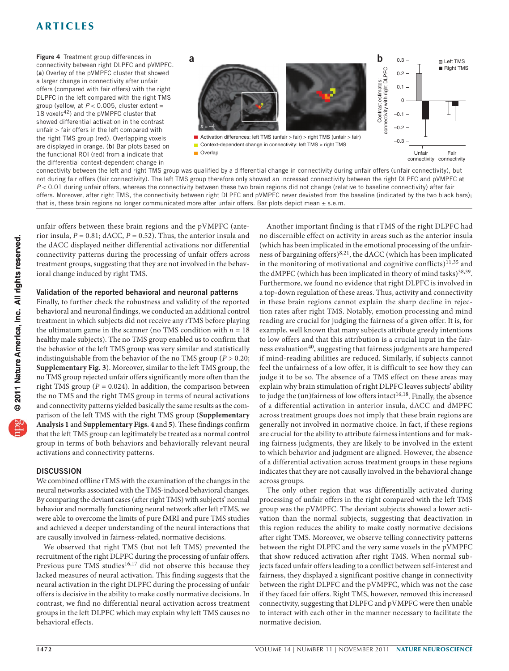<span id="page-4-0"></span>Figure 4 Treatment group differences in connectivity between right DLPFC and pVMPFC. (a) Overlay of the pVMPFC cluster that showed a larger change in connectivity after unfair offers (compared with fair offers) with the right DLPFC in the left compared with the right TMS group (yellow, at  $P < 0.005$ , cluster extent = 18 voxels[42](#page-6-22)) and the pVMPFC cluster that showed differential activation in the contrast unfair > fair offers in the left compared with the right TMS group (red). Overlapping voxels are displayed in orange. (b) Bar plots based on the functional ROI (red) from a indicate that the differential context-dependent change in



connectivity between the left and right TMS group was qualified by a differential change in connectivity during unfair offers (unfair connectivity), but not during fair offers (fair connectivity). The left TMS group therefore only showed an increased connectivity between the right DLPFC and pVMPFC at *P* < 0.01 during unfair offers, whereas the connectivity between these two brain regions did not change (relative to baseline connectivity) after fair offers. Moreover, after right TMS, the connectivity between right DLPFC and pVMPFC never deviated from the baseline (indicated by the two black bars); that is, these brain regions no longer communicated more after unfair offers. Bar plots depict mean  $\pm$  s.e.m.

unfair offers between these brain regions and the pVMPFC (anterior insula,  $P = 0.81$ ; dACC,  $P = 0.52$ ). Thus, the anterior insula and the dACC displayed neither differential activations nor differential connectivity patterns during the processing of unfair offers across treatment groups, suggesting that they are not involved in the behavioral change induced by right TMS.

#### Validation of the reported behavioral and neuronal patterns

Finally, to further check the robustness and validity of the reported behavioral and neuronal findings, we conducted an additional control treatment in which subjects did not receive any rTMS before playing the ultimatum game in the scanner (no TMS condition with  $n = 18$ ) healthy male subjects). The no TMS group enabled us to confirm that the behavior of the left TMS group was very similar and statistically indistinguishable from the behavior of the no TMS group (*P* > 0.20; **Supplementary Fig. 3**). Moreover, similar to the left TMS group, the no TMS group rejected unfair offers significantly more often than the right TMS group ( $P = 0.024$ ). In addition, the comparison between the no TMS and the right TMS group in terms of neural activations and connectivity patterns yielded basically the same results as the comparison of the left TMS with the right TMS group (**Supplementary Analysis 1** and **Supplementary Figs. 4** and **5**). These findings confirm that the left TMS group can legitimately be treated as a normal control group in terms of both behaviors and behaviorally relevant neural activations and connectivity patterns.

### **DISCUSSION**

We combined offline rTMS with the examination of the changes in the neural networks associated with the TMS-induced behavioral changes. By comparing the deviant cases (after right TMS) with subjects' normal behavior and normally functioning neural network after left rTMS, we were able to overcome the limits of pure fMRI and pure TMS studies and achieved a deeper understanding of the neural interactions that are causally involved in fairness-related, normative decisions.

We observed that right TMS (but not left TMS) prevented the recruitment of the right DLPFC during the processing of unfair offers. Previous pure TMS studies<sup>[16,](#page-6-1)[17](#page-6-6)</sup> did not observe this because they lacked measures of neural activation. This finding suggests that the neural activation in the right DLPFC during the processing of unfair offers is decisive in the ability to make costly normative decisions. In contrast, we find no differential neural activation across treatment groups in the left DLPFC which may explain why left TMS causes no behavioral effects.

Another important finding is that rTMS of the right DLPFC had no discernible effect on activity in areas such as the anterior insula (which has been implicated in the emotional processing of the unfairness of bargaining offers)[8,](#page-5-7)[21,](#page-6-5) the dACC (which has been implicated in the monitoring of motivational and cognitive conflicts)<sup>[11,](#page-5-8)[35](#page-6-23)</sup> and the dMPFC (which has been implicated in theory of mind tasks) $38,39$  $38,39$ . Furthermore, we found no evidence that right DLPFC is involved in a top-down regulation of these areas. Thus, activity and connectivity in these brain regions cannot explain the sharp decline in rejection rates after right TMS. Notably, emotion processing and mind reading are crucial for judging the fairness of a given offer. It is, for example, well known that many subjects attribute greedy intentions to low offers and that this attribution is a crucial input in the fair-ness evaluation<sup>[40](#page-6-24)</sup>, suggesting that fairness judgments are hampered if mind-reading abilities are reduced. Similarly, if subjects cannot feel the unfairness of a low offer, it is difficult to see how they can judge it to be so. The absence of a TMS effect on these areas may explain why brain stimulation of right DLPFC leaves subjects' ability to judge the  $(un)$  fairness of low offers intact<sup>[16,](#page-6-1)18</sup>. Finally, the absence of a differential activation in anterior insula, dACC and dMPFC across treatment groups does not imply that these brain regions are generally not involved in normative choice. In fact, if these regions are crucial for the ability to attribute fairness intentions and for making fairness judgments, they are likely to be involved in the extent to which behavior and judgment are aligned. However, the absence of a differential activation across treatment groups in these regions indicates that they are not causally involved in the behavioral change across groups.

The only other region that was differentially activated during processing of unfair offers in the right compared with the left TMS group was the pVMPFC. The deviant subjects showed a lower activation than the normal subjects, suggesting that deactivation in this region reduces the ability to make costly normative decisions after right TMS. Moreover, we observe telling connectivity patterns between the right DLPFC and the very same voxels in the pVMPFC that show reduced activation after right TMS. When normal subjects faced unfair offers leading to a conflict between self-interest and fairness, they displayed a significant positive change in connectivity between the right DLPFC and the pVMPFC, which was not the case if they faced fair offers. Right TMS, however, removed this increased connectivity, suggesting that DLPFC and pVMPFC were then unable to interact with each other in the manner necessary to facilitate the normative decision.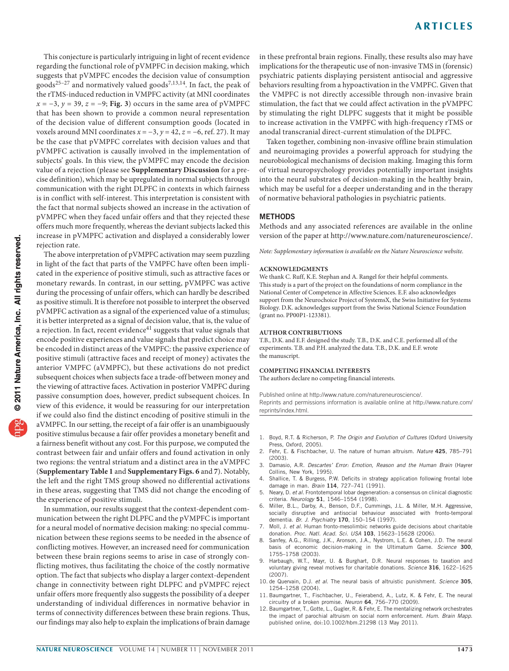This conjecture is particularly intriguing in light of recent evidence regarding the functional role of pVMPFC in decision making, which suggests that pVMPFC encodes the decision value of consumption goods<sup>25-27</sup> and normatively valued goods<sup>7,[13,](#page-6-25)[14](#page-6-26)</sup>. In fact, the peak of the rTMS-induced reduction in VMPFC activity (at MNI coordinates  $x = -3$ ,  $y = 39$ ,  $z = -9$ ; **[Fig. 3](#page-3-1)**) occurs in the same area of pVMPFC that has been shown to provide a common neural representation of the decision value of different consumption goods (located in voxels around MNI coordinates *x* = −3, *y* = 42, *z* = −6, ref. 27). It may be the case that pVMPFC correlates with decision values and that pVMPFC activation is causally involved in the implementation of subjects' goals. In this view, the pVMPFC may encode the decision value of a rejection (please see **Supplementary Discussion** for a precise definition), which may be upregulated in normal subjects through communication with the right DLPFC in contexts in which fairness is in conflict with self-interest. This interpretation is consistent with the fact that normal subjects showed an increase in the activation of pVMPFC when they faced unfair offers and that they rejected these offers much more frequently, whereas the deviant subjects lacked this increase in pVMPFC activation and displayed a considerably lower rejection rate.

The above interpretation of pVMPFC activation may seem puzzling in light of the fact that parts of the VMPFC have often been implicated in the experience of positive stimuli, such as attractive faces or monetary rewards. In contrast, in our setting, pVMPFC was active during the processing of unfair offers, which can hardly be described as positive stimuli. It is therefore not possible to interpret the observed pVMPFC activation as a signal of the experienced value of a stimulus; it is better interpreted as a signal of decision value, that is, the value of a rejection. In fact, recent evidence<sup>[41](#page-6-27)</sup> suggests that value signals that encode positive experiences and value signals that predict choice may be encoded in distinct areas of the VMPFC: the passive experience of positive stimuli (attractive faces and receipt of money) activates the anterior VMPFC (aVMPFC), but these activations do not predict subsequent choices when subjects face a trade-off between money and the viewing of attractive faces. Activation in posterior VMPFC during passive consumption does, however, predict subsequent choices. In view of this evidence, it would be reassuring for our interpretation if we could also find the distinct encoding of positive stimuli in the aVMPFC. In our setting, the receipt of a fair offer is an unambiguously positive stimulus because a fair offer provides a monetary benefit and a fairness benefit without any cost. For this purpose, we computed the contrast between fair and unfair offers and found activation in only two regions: the ventral striatum and a distinct area in the aVMPFC (**Supplementary Table 1** and **Supplementary Figs. 6** and **7**). Notably, the left and the right TMS group showed no differential activations in these areas, suggesting that TMS did not change the encoding of the experience of positive stimuli.

In summation, our results suggest that the context-dependent communication between the right DLPFC and the pVMPFC is important for a neural model of normative decision making: no special communication between these regions seems to be needed in the absence of conflicting motives. However, an increased need for communication between these brain regions seems to arise in case of strongly conflicting motives, thus facilitating the choice of the costly normative option. The fact that subjects who display a larger context-dependent change in connectivity between right DLPFC and pVMPFC reject unfair offers more frequently also suggests the possibility of a deeper understanding of individual differences in normative behavior in terms of connectivity differences between these brain regions. Thus, our findings may also help to explain the implications of brain damage

in these prefrontal brain regions. Finally, these results also may have implications for the therapeutic use of non-invasive TMS in (forensic) psychiatric patients displaying persistent antisocial and aggressive behaviors resulting from a hypoactivation in the VMPFC. Given that the VMPFC is not directly accessible through non-invasive brain stimulation, the fact that we could affect activation in the pVMPFC by stimulating the right DLPFC suggests that it might be possible to increase activation in the VMPFC with high-frequency rTMS or anodal transcranial direct-current stimulation of the DLPFC.

Taken together, combining non-invasive offline brain stimulation and neuroimaging provides a powerful approach for studying the neurobiological mechanisms of decision making. Imaging this form of virtual neuropsychology provides potentially important insights into the neural substrates of decision-making in the healthy brain, which may be useful for a deeper understanding and in the therapy of normative behavioral pathologies in psychiatric patients.

#### **METHODS**

Methods and any associated references are available in the online version of the paper at http://www.nature.com/natureneuroscience/.

*Note: Supplementary information is available on the Nature [Neuroscience](http://www.nature.com/natureneuroscience/) website.*

#### **Acknowledgments**

We thank C. Ruff, K.E. Stephan and A. Rangel for their helpful comments. This study is a part of the project on the foundations of norm compliance in the National Center of Competence in Affective Sciences. E.F. also acknowledges support from the Neurochoice Project of SystemsX, the Swiss Initiative for Systems Biology. D.K. acknowledges support from the Swiss National Science Foundation (grant no. PP00P1-123381).

#### **AUTHOR CONTRIBUTIONS**

T.B., D.K. and E.F. designed the study. T.B., D.K. and C.E. performed all of the experiments. T.B. and P.H. analyzed the data. T.B., D.K. and E.F. wrote the manuscript.

#### **COMPETING FINANCIAL INTERESTS**

The authors declare no competing financial interests.

Published online at http://www.nature.com/natureneuroscience/. Reprints and permissions information is available online at http://www.nature.com/ reprints/index.html.

- <span id="page-5-0"></span>1. Boyd, R.T. & Richerson, P. *The Origin and Evolution of Cultures* (Oxford University Press, Oxford, 2005).
- <span id="page-5-1"></span>2. Fehr, E. & Fischbacher, U. The nature of human altruism. *Nature* 425, 785–791 (2003).
- <span id="page-5-2"></span>3. Damasio, A.R. *Descartes' Error: Emotion, Reason and the Human Brain* (Hayrer Collins, New York, 1995).
- <span id="page-5-3"></span>4. Shallice, T. & Burgess, P.W. Deficits in strategy application following frontal lobe damage in man. *Brain* 114, 727–741 (1991).
- <span id="page-5-4"></span>5. Neary, D. *et al.* Frontotemporal lobar degeneration: a consensus on clinical diagnostic criteria. *Neurology* 51, 1546–1554 (1998).
- <span id="page-5-5"></span>6. Miller, B.L., Darby, A., Benson, D.F., Cummings, J.L. & Miller, M.H. Aggressive, socially disruptive and antisocial behaviour associated with fronto-temporal dementia. *Br. J. Psychiatry* 170, 150–154 (1997).
- <span id="page-5-6"></span>7. Moll, J. *et al.* Human fronto-mesolimbic networks guide decisions about charitable donation. *Proc. Natl. Acad. Sci. USA* 103, 15623–15628 (2006).
- <span id="page-5-7"></span>8. Sanfey, A.G., Rilling, J.K., Aronson, J.A., Nystrom, L.E. & Cohen, J.D. The neural basis of economic decision-making in the Ultimatum Game. *Science* 300, 1755–1758 (2003).
- 9. Harbaugh, W.T., Mayr, U. & Burghart, D.R. Neural responses to taxation and voluntary giving reveal motives for charitable donations. *Science* 316, 1622–1625 (2007).
- 10. de Quervain, D.J. *et al.* The neural basis of altruistic punishment. *Science* 305, 1254–1258 (2004).
- <span id="page-5-8"></span>11. Baumgartner, T., Fischbacher, U., Feierabend, A., Lutz, K. & Fehr, E. The neural circuitry of a broken promise. *Neuron* 64, 756–770 (2009).
- <span id="page-5-9"></span>12. Baumgartner, T., Gotte, L., Gugler, R. & Fehr, E. The mentalizing network orchestrates the impact of parochial altruism on social norm enforcement. *Hum. Brain Mapp*. published online, doi:10.1002/hbm.21298 (13 May 2011).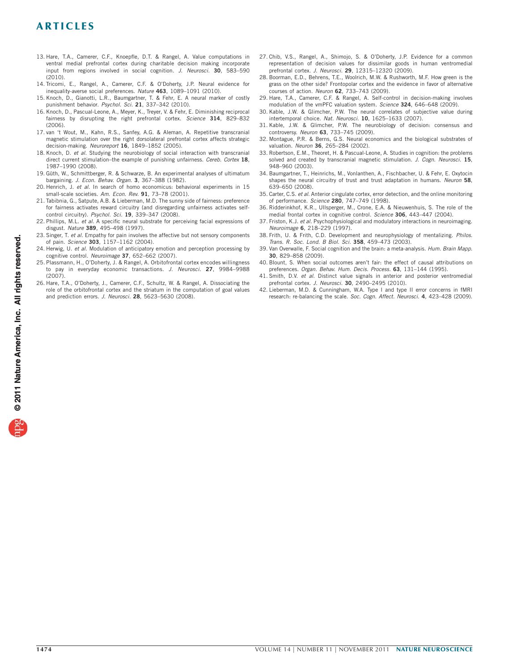- <span id="page-6-25"></span>13. Hare, T.A., Camerer, C.F., Knoepfle, D.T. & Rangel, A. Value computations in ventral medial prefrontal cortex during charitable decision making incorporate input from regions involved in social cognition. *J. Neurosci.* 30, 583–590 (2010).
- <span id="page-6-26"></span>14. Tricomi, E., Rangel, A., Camerer, C.F. & O'Doherty, J.P. Neural evidence for inequality-averse social preferences. *Nature* 463, 1089–1091 (2010).
- <span id="page-6-0"></span>15. Knoch, D., Gianotti, L.R., Baumgartner, T. & Fehr, E. A neural marker of costly punishment behavior. *Psychol. Sci.* 21, 337–342 (2010).
- <span id="page-6-1"></span>16. Knoch, D., Pascual-Leone, A., Meyer, K., Treyer, V. & Fehr, E. Diminishing reciprocal fairness by disrupting the right prefrontal cortex. *Science* 314, 829–832 (2006).
- <span id="page-6-6"></span>17. van 't Wout, M., Kahn, R.S., Sanfey, A.G. & Aleman, A. Repetitive transcranial magnetic stimulation over the right dorsolateral prefrontal cortex affects strategic decision-making. *Neuroreport* 16, 1849–1852 (2005).
- <span id="page-6-2"></span>18. Knoch, D. *et al.* Studying the neurobiology of social interaction with transcranial direct current stimulation–the example of punishing unfairness. *Cereb. Cortex* 18, 1987–1990 (2008).
- <span id="page-6-3"></span>19. Güth, W., Schmittberger, R. & Schwarze, B. An experimental analyses of ultimatum bargaining. *J. Econ. Behav. Organ.* 3, 367–388 (1982).
- <span id="page-6-4"></span>20. Henrich, J. *et al.* In search of homo economicus: behavioral experiments in 15 small-scale societies. *Am. Econ. Rev.* 91, 73–78 (2001).
- <span id="page-6-5"></span>21. Tabibnia, G., Satpute, A.B. & Lieberman, M.D. The sunny side of fairness: preference for fairness activates reward circuitry (and disregarding unfairness activates selfcontrol circuitry). *Psychol. Sci.* 19, 339–347 (2008).
- <span id="page-6-7"></span>22. Phillips, M.L. *et al.* A specific neural substrate for perceiving facial expressions of disgust. *Nature* 389, 495–498 (1997).
- <span id="page-6-8"></span>23. Singer, T. *et al.* Empathy for pain involves the affective but not sensory components of pain. *Science* 303, 1157–1162 (2004).
- <span id="page-6-9"></span>24. Herwig, U. *et al.* Modulation of anticipatory emotion and perception processing by cognitive control. *Neuroimage* 37, 652–662 (2007).
- <span id="page-6-10"></span>25. Plassmann, H., O'Doherty, J. & Rangel, A. Orbitofrontal cortex encodes willingness to pay in everyday economic transactions. *J. Neurosci.* 27, 9984–9988 (2007).
- 26. Hare, T.A., O'Doherty, J., Camerer, C.F., Schultz, W. & Rangel, A. Dissociating the role of the orbitofrontal cortex and the striatum in the computation of goal values and prediction errors. *J. Neurosci.* 28, 5623–5630 (2008).
- <span id="page-6-11"></span>27. Chib, V.S., Rangel, A., Shimojo, S. & O'Doherty, J.P. Evidence for a common representation of decision values for dissimilar goods in human ventromedial prefrontal cortex. *J. Neurosci.* 29, 12315–12320 (2009).
- <span id="page-6-12"></span>28. Boorman, E.D., Behrens, T.E., Woolrich, M.W. & Rushworth, M.F. How green is the grass on the other side? Frontopolar cortex and the evidence in favor of alternative courses of action. *Neuron* 62, 733–743 (2009).
- <span id="page-6-13"></span>29. Hare, T.A., Camerer, C.F. & Rangel, A. Self-control in decision-making involves modulation of the vmPFC valuation system. *Science* 324, 646–648 (2009).
- <span id="page-6-28"></span>30. Kable, J.W. & Glimcher, P.W. The neural correlates of subjective value during intertemporal choice. *Nat. Neurosci.* 10, 1625–1633 (2007).
- <span id="page-6-14"></span>31. Kable, J.W. & Glimcher, P.W. The neurobiology of decision: consensus and controversy. *Neuron* 63, 733–745 (2009).
- <span id="page-6-15"></span>32. Montague, P.R. & Berns, G.S. Neural economics and the biological substrates of valuation. *Neuron* 36, 265–284 (2002).
- <span id="page-6-16"></span>33. Robertson, E.M., Theoret, H. & Pascual-Leone, A. Studies in cognition: the problems solved and created by transcranial magnetic stimulation. *J. Cogn. Neurosci.* 15, 948–960 (2003).
- <span id="page-6-17"></span>34. Baumgartner, T., Heinrichs, M., Vonlanthen, A., Fischbacher, U. & Fehr, E. Oxytocin shapes the neural circuitry of trust and trust adaptation in humans. *Neuron* 58, 639–650 (2008).
- <span id="page-6-23"></span>35. Carter, C.S. *et al.* Anterior cingulate cortex, error detection, and the online monitoring of performance. *Science* 280, 747–749 (1998).
- <span id="page-6-18"></span>36. Ridderinkhof, K.R., Ullsperger, M., Crone, E.A. & Nieuwenhuis, S. The role of the medial frontal cortex in cognitive control. *Science* 306, 443–447 (2004).
- <span id="page-6-19"></span>37. Friston, K.J. *et al.* Psychophysiological and modulatory interactions in neuroimaging. *Neuroimage* 6, 218–229 (1997).
- <span id="page-6-20"></span>38. Frith, U. & Frith, C.D. Development and neurophysiology of mentalizing. *Philos. Trans. R. Soc. Lond. B Biol. Sci.* 358, 459–473 (2003).
- <span id="page-6-21"></span>39. Van Overwalle, F. Social cognition and the brain: a meta-analysis. *Hum. Brain Mapp.* 30, 829–858 (2009).
- <span id="page-6-24"></span>40. Blount, S. When social outcomes aren't fair: the effect of causal attributions on preferences. *Organ. Behav. Hum. Decis. Process.* 63, 131–144 (1995).
- <span id="page-6-27"></span>41. Smith, D.V. *et al.* Distinct value signals in anterior and posterior ventromedial prefrontal cortex. *J. Neurosci.* 30, 2490–2495 (2010).
- <span id="page-6-22"></span>42. Lieberman, M.D. & Cunningham, W.A. Type I and type II error concerns in fMRI research: re-balancing the scale. *Soc. Cogn. Affect. Neurosci.* 4, 423–428 (2009).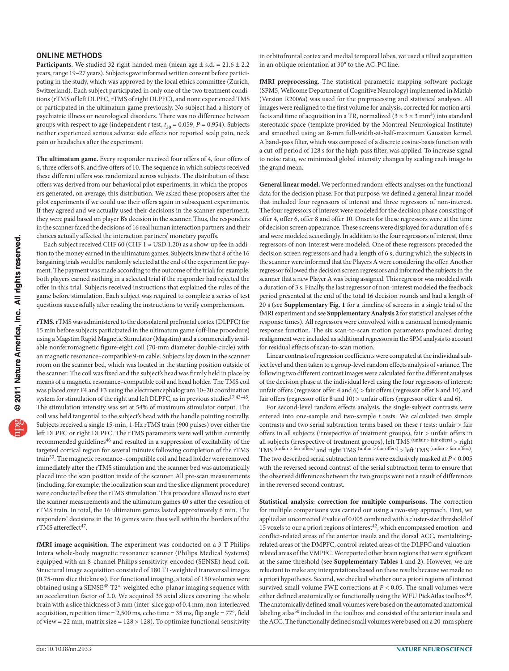#### ONLINE METHODS

**Participants.** We studied 32 right-handed men (mean age  $\pm$  s.d. = 21.6  $\pm$  2.2 years, range 19–27 years). Subjects gave informed written consent before participating in the study, which was approved by the local ethics committee (Zurich, Switzerland). Each subject participated in only one of the two treatment conditions (rTMS of left DLPFC, rTMS of right DLPFC), and none experienced TMS or participated in the ultimatum game previously. No subject had a history of psychiatric illness or neurological disorders. There was no difference between groups with respect to age (independent *t* test, *t* 30 = 0.059, *P* = 0.954). Subjects neither experienced serious adverse side effects nor reported scalp pain, neck pain or headaches after the experiment.

**The ultimatum game.** Every responder received four offers of 4, four offers of 6, three offers of 8, and five offers of 10. The sequence in which subjects received these different offers was randomized across subjects. The distribution of these offers was derived from our behavioral pilot experiments, in which the proposers generated, on average, this distribution. We asked these proposers after the pilot experiments if we could use their offers again in subsequent experiments. If they agreed and we actually used their decisions in the scanner experiment, they were paid based on player B's decision in the scanner. Thus, the responders in the scanner faced the decisions of 16 real human interaction partners and their choices actually affected the interaction partners' monetary payoffs.

Each subject received CHF 60 (CHF  $1 \approx$  USD 1.20) as a show-up fee in addition to the money earned in the ultimatum games. Subjects knew that 8 of the 16 bargaining trials would be randomly selected at the end of the experiment for payment. The payment was made according to the outcome of the trial; for example, both players earned nothing in a selected trial if the responder had rejected the offer in this trial. Subjects received instructions that explained the rules of the game before stimulation. Each subject was required to complete a series of test questions successfully after reading the instructions to verify comprehension.

**rTMS.** rTMS was administered to the dorsolateral prefrontal cortex (DLPFC) for 15 min before subjects participated in the ultimatum game (off-line procedure) using a Magstim Rapid Magnetic Stimulator (Magstim) and a commercially available nonferromagnetic figure-eight coil (70-mm diameter double-circle) with an magnetic resonance–compatible 9-m cable. Subjects lay down in the scanner room on the scanner bed, which was located in the starting position outside of the scanner. The coil was fixed and the subject's head was firmly held in place by means of a magnetic resonance–compatible coil and head holder. The TMS coil was placed over F4 and F3 using the electroencephalogram 10–20 coordination system for stimulation of the right and left DLPFC, as in previous studies<sup>17,43-45</sup>. The stimulation intensity was set at 54% of maximum stimulator output. The coil was held tangential to the subject's head with the handle pointing rostrally. Subjects received a single 15-min, 1-Hz rTMS train (900 pulses) over either the left DLPFC or right DLPFC. The rTMS parameters were well within currently recommended guidelines<sup>46</sup> and resulted in a suppression of excitability of the targeted cortical region for several minutes following completion of the rTMS train<sup>[33](#page-6-16)</sup>. The magnetic resonance-compatible coil and head holder were removed immediately after the rTMS stimulation and the scanner bed was automatically placed into the scan position inside of the scanner. All pre-scan measurements (including, for example, the localization scan and the slice alignment procedure) were conducted before the rTMS stimulation. This procedure allowed us to start the scanner measurements and the ultimatum games 40 s after the cessation of rTMS train. In total, the 16 ultimatum games lasted approximately 6 min. The responders' decisions in the 16 games were thus well within the borders of the rTMS aftereffect<sup>[47](#page-8-2)</sup>.

**fMRI image acquisition.** The experiment was conducted on a 3 T Philips Intera whole-body magnetic resonance scanner (Philips Medical Systems) equipped with an 8-channel Philips sensitivity-encoded (SENSE) head coil. Structural image acquisition consisted of 180 T1-weighted transversal images (0.75-mm slice thickness). For functional imaging, a total of 150 volumes were obtained using a SENSE<sup>48</sup> T2\*-weighted echo-planar imaging sequence with an acceleration factor of 2.0. We acquired 35 axial slices covering the whole brain with a slice thickness of 3 mm (inter-slice gap of 0.4 mm, non-interleaved acquisition, repetition time = 2,500 ms, echo time = 35 ms, flip angle = 77°, field of view = 22 mm, matrix size =  $128 \times 128$ ). To optimize functional sensitivity

in orbitofrontal cortex and medial temporal lobes, we used a tilted acquisition in an oblique orientation at 30° to the AC-PC line.

**fMRI preprocessing.** The statistical parametric mapping software package (SPM5, Wellcome Department of Cognitive Neurology) implemented in Matlab (Version R2006a) was used for the preprocessing and statistical analyses. All images were realigned to the first volume for analysis, corrected for motion artifacts and time of acquisition in a TR, normalized  $(3 \times 3 \times 3 \text{ mm}^3)$  into standard stereotaxic space (template provided by the Montreal Neurological Institute) and smoothed using an 8-mm full-width-at-half-maximum Gaussian kernel. A band-pass filter, which was composed of a discrete cosine-basis function with a cut-off period of 128 s for the high-pass filter, was applied. To increase signal to noise ratio, we minimized global intensity changes by scaling each image to the grand mean.

**General linear model.** We performed random-effects analyses on the functional data for the decision phase. For that purpose, we defined a general linear model that included four regressors of interest and three regressors of non-interest. The four regressors of interest were modeled for the decision phase consisting of offer 4, offer 6, offer 8 and offer 10. Onsets for these regressors were at the time of decision screen appearance. These screens were displayed for a duration of 6 s and were modeled accordingly. In addition to the four regressors of interest, three regressors of non-interest were modeled. One of these regressors preceded the decision screen regressors and had a length of 6 s, during which the subjects in the scanner were informed that the Players A were considering the offer. Another regressor followed the decision screen regressors and informed the subjects in the scanner that a new Player A was being assigned. This regressor was modeled with a duration of 3 s. Finally, the last regressor of non-interest modeled the feedback period presented at the end of the total 16 decision rounds and had a length of 20 s (see **Supplementary Fig. 1** for a timeline of screens in a single trial of the fMRI experiment and see **Supplementary Analysis 2** for statistical analyses of the response times). All regressors were convolved with a canonical hemodynamic response function. The six scan-to-scan motion parameters produced during realignment were included as additional regressors in the SPM analysis to account for residual effects of scan-to-scan motion.

Linear contrasts of regression coefficients were computed at the individual subject level and then taken to a group-level random effects analysis of variance. The following two different contrast images were calculated for the different analyses of the decision phase at the individual level using the four regressors of interest: unfair offers (regressor offer 4 and 6) > fair offers (regressor offer 8 and 10) and fair offers (regressor offer 8 and 10) > unfair offers (regressor offer 4 and 6).

For second-level random effects analysis, the single-subject contrasts were entered into one-sample and two-sample *t* tests. We calculated two simple contrasts and two serial subtraction terms based on these  $t$  tests: unfair  $>$  fair offers in all subjects (irrespective of treatment groups), fair > unfair offers in all subjects (irrespective of treatment groups), left TMS  $^{\rm (unfair\, >\, fair\, offers)}$   $>$  right TMS (unfair > fair offers) and right TMS (unfair > fair offers) > left TMS (unfair > fair offers). The two described serial subtraction terms were exclusively masked at *P* < 0.005 with the reversed second contrast of the serial subtraction term to ensure that the observed differences between the two groups were not a result of differences in the reversed second contrast.

**Statistical analysis: correction for multiple comparisons.** The correction for multiple comparisons was carried out using a two-step approach. First, we applied an uncorrected *P* value of 0.005 combined with a cluster-size threshold of 15 voxels to our a priori regions of interest $42$ , which encompassed emotion- and conflict-related areas of the anterior insula and the dorsal ACC, mentalizingrelated areas of the DMPFC, control-related areas of the DLPFC and valuationrelated areas of the VMPFC. We reported other brain regions that were significant at the same threshold (see **Supplementary Tables 1** and **2**). However, we are reluctant to make any interpretations based on these results because we made no a priori hypotheses. Second, we checked whether our a priori regions of interest survived small-volume FWE corrections at *P* < 0.05. The small volumes were either defined anatomically or functionally using the WFU PickAtlas toolbox<sup>49</sup>. The anatomically defined small volumes were based on the automated anatomical labeling atlas<sup>[50](#page-8-5)</sup> included in the toolbox and consisted of the anterior insula and the ACC. The functionally defined small volumes were based on a 20-mm sphere